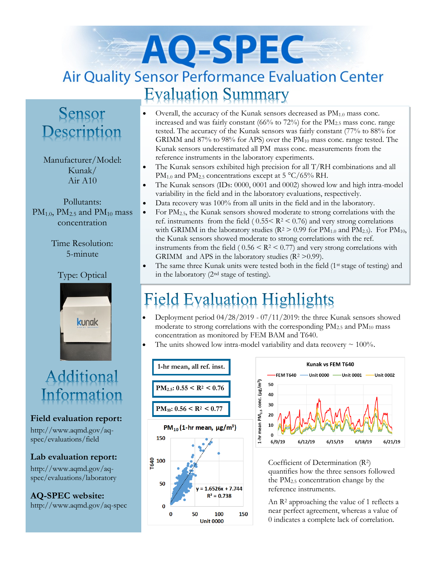# AO-SPEC **Air Quality Sensor Performance Evaluation Center Evaluation Summary**

### Sensor Description

#### Manufacturer/Model: Kunak/ Air A10

Pollutants:  $PM<sub>1.0</sub>$ ,  $PM<sub>2.5</sub>$  and  $PM<sub>10</sub>$  mass concentration

> Time Resolution: 5-minute

### Type: Optical



### Additional Information

#### **Field evaluation report:**

http://www.aqmd.gov/aqspec/evaluations/field

**Lab evaluation report:** http://www.aqmd.gov/aq-

spec/evaluations/laboratory

**AQ-SPEC website:**  http://www.aqmd.gov/aq-spec

- Overall, the accuracy of the Kunak sensors decreased as  $PM<sub>1.0</sub>$  mass conc. increased and was fairly constant  $(66\%$  to  $72\%)$  for the PM<sub>2.5</sub> mass conc. range tested. The accuracy of the Kunak sensors was fairly constant (77% to 88% for GRIMM and 87% to 98% for APS) over the PM<sup>10</sup> mass conc. range tested. The Kunak sensors underestimated all PM mass conc. measurements from the reference instruments in the laboratory experiments.
- The Kunak sensors exhibited high precision for all T/RH combinations and all PM<sub>1.0</sub> and PM<sub>2.5</sub> concentrations except at  $5 \text{ °C}/65\%$  RH.
- The Kunak sensors (IDs: 0000, 0001 and 0002) showed low and high intra-model variability in the field and in the laboratory evaluations, respectively.
- Data recovery was 100% from all units in the field and in the laboratory.
- For PM<sub>2.5</sub>, the Kunak sensors showed moderate to strong correlations with the ref. instruments from the field ( $0.55 < R^2 < 0.76$ ) and very strong correlations with GRIMM in the laboratory studies ( $R^2 > 0.99$  for  $PM_{1.0}$  and  $PM_{2.5}$ ). For  $PM_{10}$ , the Kunak sensors showed moderate to strong correlations with the ref. instruments from the field (  $0.56 \leq R^2 \leq 0.77$ ) and very strong correlations with GRIMM and APS in the laboratory studies  $(R^2 > 0.99)$ .
- The same three Kunak units were tested both in the field (1<sup>st</sup> stage of testing) and in the laboratory (2nd stage of testing).

## **Field Evaluation Highlights**

- Deployment period 04/28/2019 07/11/2019: the three Kunak sensors showed moderate to strong correlations with the corresponding  $PM_{2.5}$  and  $PM_{10}$  mass concentration as monitored by FEM BAM and T640.
- The units showed low intra-model variability and data recovery  $\sim 100\%$ .





Coefficient of Determination (R2) quantifies how the three sensors followed the PM2.5 concentration change by the reference instruments.

An R<sup>2</sup> approaching the value of 1 reflects a near perfect agreement, whereas a value of 0 indicates a complete lack of correlation.